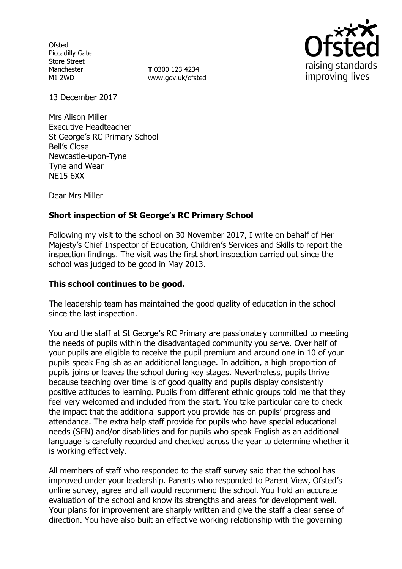**Ofsted** Piccadilly Gate Store Street Manchester M1 2WD

**T** 0300 123 4234 www.gov.uk/ofsted



13 December 2017

Mrs Alison Miller Executive Headteacher St George's RC Primary School Bell's Close Newcastle-upon-Tyne Tyne and Wear NE15 6XX

Dear Mrs Miller

## **Short inspection of St George's RC Primary School**

Following my visit to the school on 30 November 2017, I write on behalf of Her Majesty's Chief Inspector of Education, Children's Services and Skills to report the inspection findings. The visit was the first short inspection carried out since the school was judged to be good in May 2013.

## **This school continues to be good.**

The leadership team has maintained the good quality of education in the school since the last inspection.

You and the staff at St George's RC Primary are passionately committed to meeting the needs of pupils within the disadvantaged community you serve. Over half of your pupils are eligible to receive the pupil premium and around one in 10 of your pupils speak English as an additional language. In addition, a high proportion of pupils joins or leaves the school during key stages. Nevertheless, pupils thrive because teaching over time is of good quality and pupils display consistently positive attitudes to learning. Pupils from different ethnic groups told me that they feel very welcomed and included from the start. You take particular care to check the impact that the additional support you provide has on pupils' progress and attendance. The extra help staff provide for pupils who have special educational needs (SEN) and/or disabilities and for pupils who speak English as an additional language is carefully recorded and checked across the year to determine whether it is working effectively.

All members of staff who responded to the staff survey said that the school has improved under your leadership. Parents who responded to Parent View, Ofsted's online survey, agree and all would recommend the school. You hold an accurate evaluation of the school and know its strengths and areas for development well. Your plans for improvement are sharply written and give the staff a clear sense of direction. You have also built an effective working relationship with the governing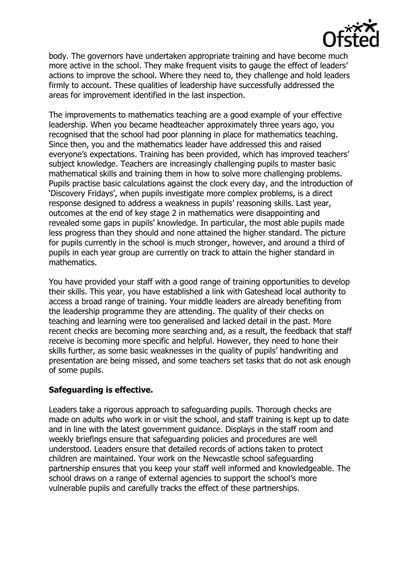

body. The governors have undertaken appropriate training and have become much more active in the school. They make frequent visits to gauge the effect of leaders' actions to improve the school. Where they need to, they challenge and hold leaders firmly to account. These qualities of leadership have successfully addressed the areas for improvement identified in the last inspection.

The improvements to mathematics teaching are a good example of your effective leadership. When you became headteacher approximately three years ago, you recognised that the school had poor planning in place for mathematics teaching. Since then, you and the mathematics leader have addressed this and raised everyone's expectations. Training has been provided, which has improved teachers' subject knowledge. Teachers are increasingly challenging pupils to master basic mathematical skills and training them in how to solve more challenging problems. Pupils practise basic calculations against the clock every day, and the introduction of 'Discovery Fridays', when pupils investigate more complex problems, is a direct response designed to address a weakness in pupils' reasoning skills. Last year, outcomes at the end of key stage 2 in mathematics were disappointing and revealed some gaps in pupils' knowledge. In particular, the most able pupils made less progress than they should and none attained the higher standard. The picture for pupils currently in the school is much stronger, however, and around a third of pupils in each year group are currently on track to attain the higher standard in mathematics.

You have provided your staff with a good range of training opportunities to develop their skills. This year, you have established a link with Gateshead local authority to access a broad range of training. Your middle leaders are already benefiting from the leadership programme they are attending. The quality of their checks on teaching and learning were too generalised and lacked detail in the past. More recent checks are becoming more searching and, as a result, the feedback that staff receive is becoming more specific and helpful. However, they need to hone their skills further, as some basic weaknesses in the quality of pupils' handwriting and presentation are being missed, and some teachers set tasks that do not ask enough of some pupils.

# **Safeguarding is effective.**

Leaders take a rigorous approach to safeguarding pupils. Thorough checks are made on adults who work in or visit the school, and staff training is kept up to date and in line with the latest government guidance. Displays in the staff room and weekly briefings ensure that safeguarding policies and procedures are well understood. Leaders ensure that detailed records of actions taken to protect children are maintained. Your work on the Newcastle school safeguarding partnership ensures that you keep your staff well informed and knowledgeable. The school draws on a range of external agencies to support the school's more vulnerable pupils and carefully tracks the effect of these partnerships.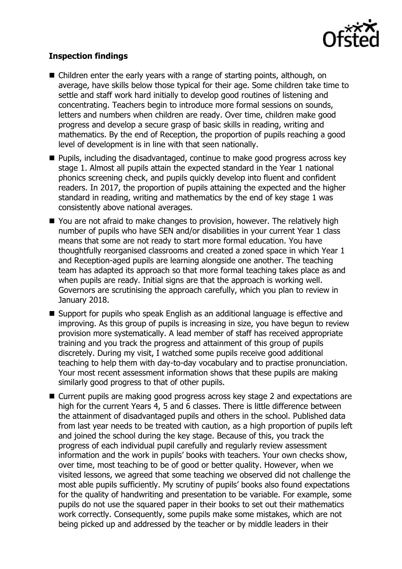

## **Inspection findings**

- Children enter the early years with a range of starting points, although, on average, have skills below those typical for their age. Some children take time to settle and staff work hard initially to develop good routines of listening and concentrating. Teachers begin to introduce more formal sessions on sounds, letters and numbers when children are ready. Over time, children make good progress and develop a secure grasp of basic skills in reading, writing and mathematics. By the end of Reception, the proportion of pupils reaching a good level of development is in line with that seen nationally.
- **Pupils, including the disadvantaged, continue to make good progress across key** stage 1. Almost all pupils attain the expected standard in the Year 1 national phonics screening check, and pupils quickly develop into fluent and confident readers. In 2017, the proportion of pupils attaining the expected and the higher standard in reading, writing and mathematics by the end of key stage 1 was consistently above national averages.
- You are not afraid to make changes to provision, however. The relatively high number of pupils who have SEN and/or disabilities in your current Year 1 class means that some are not ready to start more formal education. You have thoughtfully reorganised classrooms and created a zoned space in which Year 1 and Reception-aged pupils are learning alongside one another. The teaching team has adapted its approach so that more formal teaching takes place as and when pupils are ready. Initial signs are that the approach is working well. Governors are scrutinising the approach carefully, which you plan to review in January 2018.
- Support for pupils who speak English as an additional language is effective and improving. As this group of pupils is increasing in size, you have begun to review provision more systematically. A lead member of staff has received appropriate training and you track the progress and attainment of this group of pupils discretely. During my visit, I watched some pupils receive good additional teaching to help them with day-to-day vocabulary and to practise pronunciation. Your most recent assessment information shows that these pupils are making similarly good progress to that of other pupils.
- Current pupils are making good progress across key stage 2 and expectations are high for the current Years 4, 5 and 6 classes. There is little difference between the attainment of disadvantaged pupils and others in the school. Published data from last year needs to be treated with caution, as a high proportion of pupils left and joined the school during the key stage. Because of this, you track the progress of each individual pupil carefully and regularly review assessment information and the work in pupils' books with teachers. Your own checks show, over time, most teaching to be of good or better quality. However, when we visited lessons, we agreed that some teaching we observed did not challenge the most able pupils sufficiently. My scrutiny of pupils' books also found expectations for the quality of handwriting and presentation to be variable. For example, some pupils do not use the squared paper in their books to set out their mathematics work correctly. Consequently, some pupils make some mistakes, which are not being picked up and addressed by the teacher or by middle leaders in their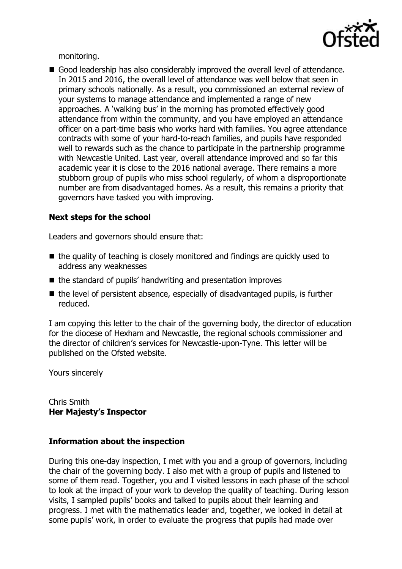

monitoring.

Good leadership has also considerably improved the overall level of attendance. In 2015 and 2016, the overall level of attendance was well below that seen in primary schools nationally. As a result, you commissioned an external review of your systems to manage attendance and implemented a range of new approaches. A 'walking bus' in the morning has promoted effectively good attendance from within the community, and you have employed an attendance officer on a part-time basis who works hard with families. You agree attendance contracts with some of your hard-to-reach families, and pupils have responded well to rewards such as the chance to participate in the partnership programme with Newcastle United. Last year, overall attendance improved and so far this academic year it is close to the 2016 national average. There remains a more stubborn group of pupils who miss school regularly, of whom a disproportionate number are from disadvantaged homes. As a result, this remains a priority that governors have tasked you with improving.

## **Next steps for the school**

Leaders and governors should ensure that:

- $\blacksquare$  the quality of teaching is closely monitored and findings are quickly used to address any weaknesses
- $\blacksquare$  the standard of pupils' handwriting and presentation improves
- $\blacksquare$  the level of persistent absence, especially of disadvantaged pupils, is further reduced.

I am copying this letter to the chair of the governing body, the director of education for the diocese of Hexham and Newcastle, the regional schools commissioner and the director of children's services for Newcastle-upon-Tyne. This letter will be published on the Ofsted website.

Yours sincerely

Chris Smith **Her Majesty's Inspector**

## **Information about the inspection**

During this one-day inspection, I met with you and a group of governors, including the chair of the governing body. I also met with a group of pupils and listened to some of them read. Together, you and I visited lessons in each phase of the school to look at the impact of your work to develop the quality of teaching. During lesson visits, I sampled pupils' books and talked to pupils about their learning and progress. I met with the mathematics leader and, together, we looked in detail at some pupils' work, in order to evaluate the progress that pupils had made over